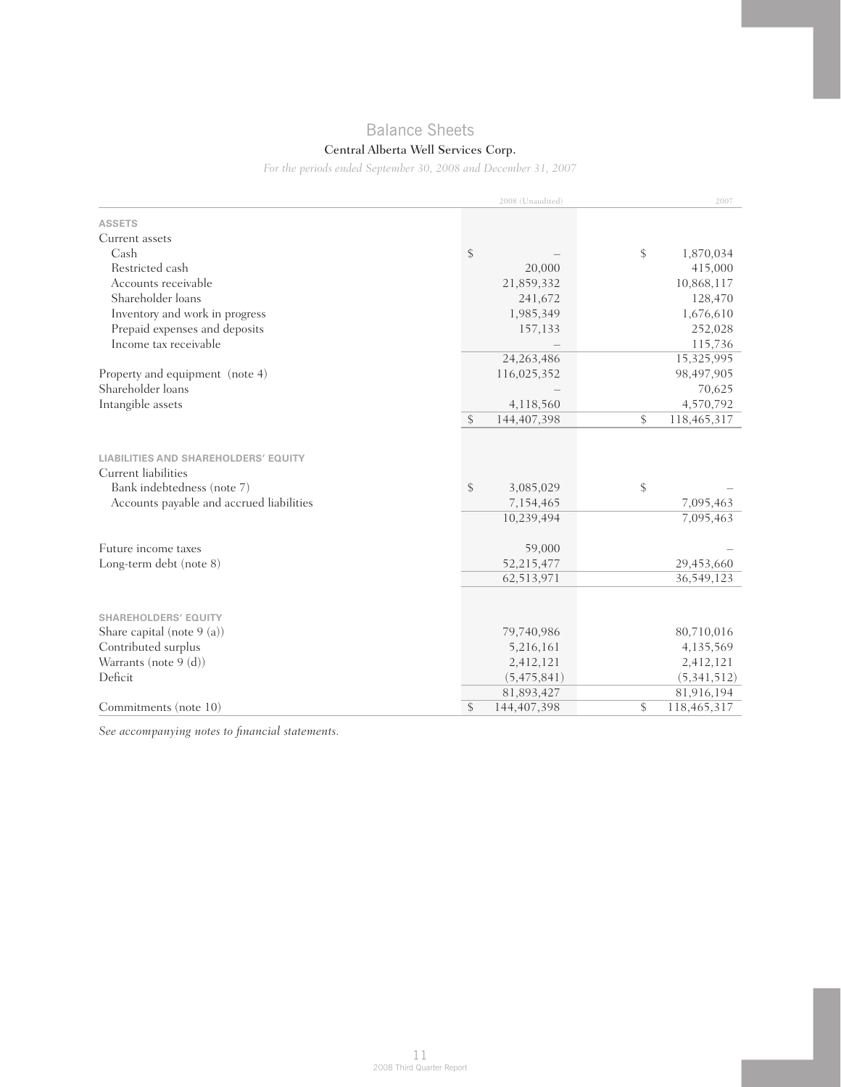# Balance Sheets

## Central Alberta Well Services Corp.

*For the periods ended September 30, 2008 and December 31, 2007*

|                                                                                                                                              | 2008 (Unaudited)                           | 2007                         |
|----------------------------------------------------------------------------------------------------------------------------------------------|--------------------------------------------|------------------------------|
| <b>ASSETS</b>                                                                                                                                |                                            |                              |
| Current assets                                                                                                                               |                                            |                              |
| Cash                                                                                                                                         | \$                                         | \$<br>1,870,034              |
| Restricted cash                                                                                                                              | 20,000                                     | 415,000                      |
| Accounts receivable                                                                                                                          | 21,859,332                                 | 10,868,117                   |
| Shareholder loans                                                                                                                            | 241,672                                    | 128,470                      |
| Inventory and work in progress                                                                                                               | 1,985,349                                  | 1,676,610                    |
| Prepaid expenses and deposits                                                                                                                | 157,133                                    | 252,028                      |
| Income tax receivable                                                                                                                        |                                            | 115,736                      |
|                                                                                                                                              | 24, 263, 486                               | 15,325,995                   |
| Property and equipment (note 4)                                                                                                              | 116,025,352                                | 98,497,905                   |
| Shareholder loans                                                                                                                            |                                            | 70,625                       |
| Intangible assets                                                                                                                            | 4,118,560                                  | 4,570,792                    |
|                                                                                                                                              | \$<br>144,407,398                          | \$<br>118,465,317            |
| <b>LIABILITIES AND SHAREHOLDERS' EQUITY</b><br>Current liabilities<br>Bank indebtedness (note 7)<br>Accounts payable and accrued liabilities | \$<br>3,085,029<br>7,154,465<br>10,239,494 | \$<br>7,095,463<br>7,095,463 |
| Future income taxes                                                                                                                          | 59,000                                     |                              |
| Long-term debt (note 8)                                                                                                                      | 52,215,477                                 | 29,453,660                   |
|                                                                                                                                              | 62,513,971                                 | 36,549,123                   |
| <b>SHAREHOLDERS' EQUITY</b><br>Share capital (note 9 (a))<br>Contributed surplus                                                             | 79,740,986<br>5,216,161                    | 80,710,016<br>4,135,569      |
| Warrants (note 9 (d))                                                                                                                        | 2,412,121                                  | 2,412,121                    |
| Deficit                                                                                                                                      | (5,475,841)                                | (5,341,512)                  |
|                                                                                                                                              | 81,893,427                                 | 81,916,194                   |
| Commitments (note 10)                                                                                                                        | \$<br>144,407,398                          | \$<br>118,465,317            |

*See accompanying notes to financial statements.*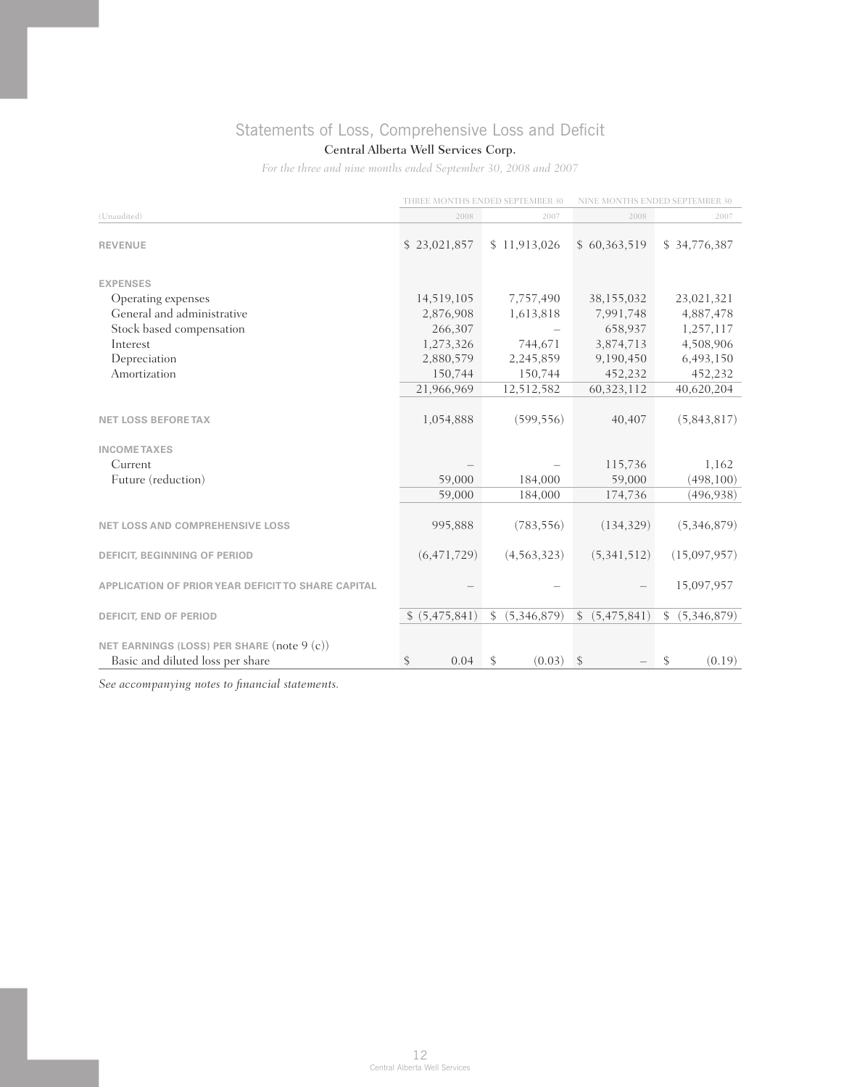# Statements of Loss, Comprehensive Loss and Deficit

## Central Alberta Well Services Corp.

*For the three and nine months ended September 30, 2008 and 2007*

|                                                                                |                | THREE MONTHS ENDED SEPTEMBER 30 | NINE MONTHS ENDED SEPTEMBER 30 |                               |  |
|--------------------------------------------------------------------------------|----------------|---------------------------------|--------------------------------|-------------------------------|--|
| (Unaudited)                                                                    | 2008           | 2007                            | 2008                           | 2007                          |  |
| <b>REVENUE</b>                                                                 | \$23,021,857   | \$11,913,026                    | \$60,363,519                   | \$34,776,387                  |  |
| <b>EXPENSES</b>                                                                |                |                                 |                                |                               |  |
| Operating expenses                                                             | 14,519,105     | 7,757,490                       | 38,155,032                     | 23,021,321                    |  |
| General and administrative                                                     | 2,876,908      | 1,613,818                       | 7,991,748                      | 4,887,478                     |  |
| Stock based compensation                                                       | 266,307        |                                 | 658,937                        | 1,257,117                     |  |
| Interest                                                                       | 1,273,326      | 744,671                         | 3,874,713                      | 4,508,906                     |  |
| Depreciation                                                                   | 2,880,579      | 2,245,859                       | 9,190,450                      | 6,493,150                     |  |
| Amortization                                                                   | 150,744        | 150,744                         | 452,232                        | 452,232                       |  |
|                                                                                | 21,966,969     | 12,512,582                      | 60, 323, 112                   | 40,620,204                    |  |
| <b>NET LOSS BEFORE TAX</b>                                                     | 1,054,888      | (599, 556)                      | 40,407                         | (5,843,817)                   |  |
| <b>INCOME TAXES</b>                                                            |                |                                 |                                |                               |  |
| Current                                                                        |                |                                 | 115,736                        | 1,162                         |  |
| Future (reduction)                                                             | 59,000         | 184,000                         | 59,000                         | (498, 100)                    |  |
|                                                                                | 59,000         | 184,000                         | 174,736                        | (496, 938)                    |  |
| <b>NET LOSS AND COMPREHENSIVE LOSS</b>                                         | 995,888        | (783, 556)                      | (134, 329)                     | (5,346,879)                   |  |
| <b>DEFICIT, BEGINNING OF PERIOD</b>                                            | (6, 471, 729)  | (4, 563, 323)                   | (5,341,512)                    | (15,097,957)                  |  |
| APPLICATION OF PRIOR YEAR DEFICIT TO SHARE CAPITAL                             |                |                                 |                                | 15,097,957                    |  |
| <b>DEFICIT, END OF PERIOD</b>                                                  | \$ (5,475,841) | (5,346,879)<br>$\mathbb{S}^-$   | (5,475,841)<br>\$              | (5,346,879)<br>$\mathbb{S}^-$ |  |
| NET EARNINGS (LOSS) PER SHARE (note 9 (c))<br>Basic and diluted loss per share | 0.04<br>\$     | \$<br>(0.03)                    | \$                             | (0.19)<br>\$                  |  |
|                                                                                |                |                                 |                                |                               |  |

*See accompanying notes to financial statements.*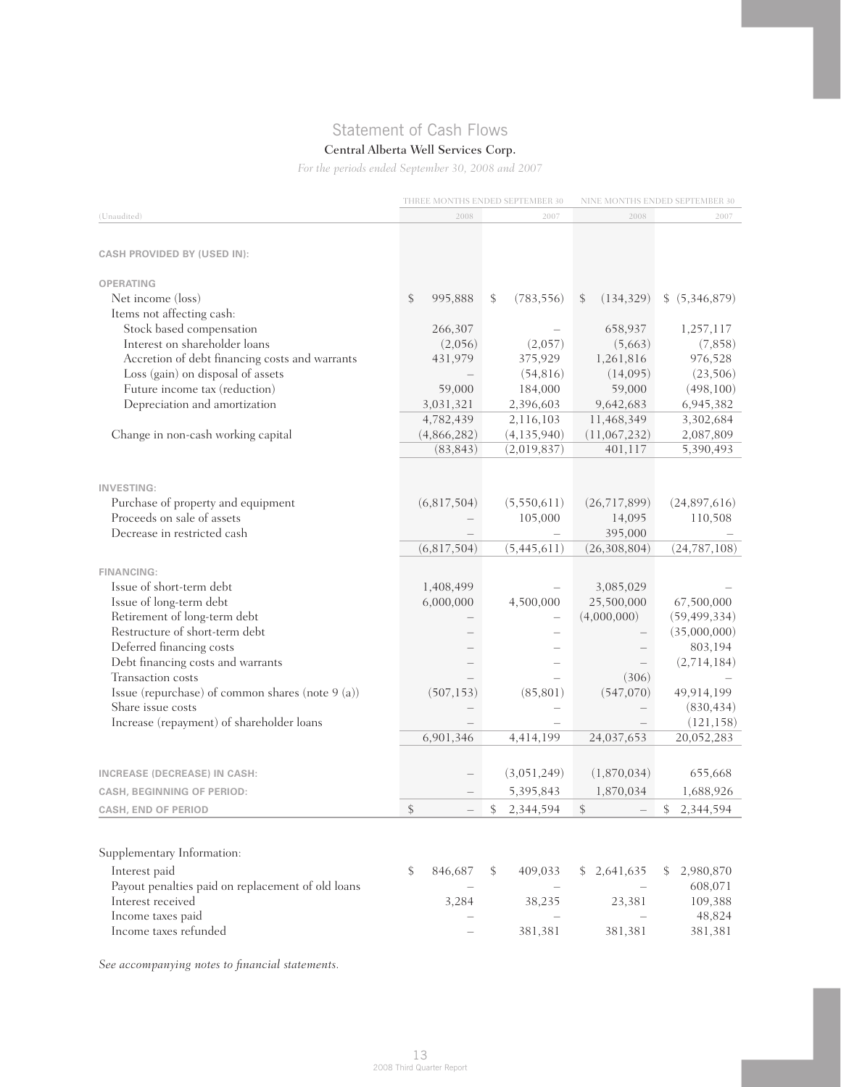## Statement of Cash Flows

## Central Alberta Well Services Corp.

*For the periods ended September 30, 2008 and 2007*

|                                                                       |               | THREE MONTHS ENDED SEPTEMBER 30 |                  | NINE MONTHS ENDED SEPTEMBER 30 |  |
|-----------------------------------------------------------------------|---------------|---------------------------------|------------------|--------------------------------|--|
| (Unaudited)                                                           | 2008          | 2007                            | 2008             | 2007                           |  |
|                                                                       |               |                                 |                  |                                |  |
| <b>CASH PROVIDED BY (USED IN):</b>                                    |               |                                 |                  |                                |  |
| <b>OPERATING</b>                                                      |               |                                 |                  |                                |  |
| Net income (loss)                                                     | \$<br>995,888 | \$<br>(783, 556)                | (134, 329)<br>\$ | \$ (5,346,879)                 |  |
| Items not affecting cash:                                             |               |                                 |                  |                                |  |
| Stock based compensation                                              | 266,307       |                                 | 658,937          | 1,257,117                      |  |
| Interest on shareholder loans                                         | (2,056)       | (2,057)                         | (5,663)          | (7,858)                        |  |
| Accretion of debt financing costs and warrants                        | 431,979       | 375,929                         | 1,261,816        | 976,528                        |  |
| Loss (gain) on disposal of assets                                     |               | (54, 816)                       | (14,095)         | (23, 506)                      |  |
| Future income tax (reduction)                                         | 59,000        | 184,000                         | 59,000           | (498, 100)                     |  |
| Depreciation and amortization                                         | 3,031,321     | 2,396,603                       | 9,642,683        | 6,945,382                      |  |
|                                                                       | 4,782,439     | 2,116,103                       | 11,468,349       | 3,302,684                      |  |
| Change in non-cash working capital                                    | (4,866,282)   | (4, 135, 940)                   | (11,067,232)     | 2,087,809                      |  |
|                                                                       | (83, 843)     | (2,019,837)                     | 401,117          | 5,390,493                      |  |
|                                                                       |               |                                 |                  |                                |  |
| <b>INVESTING:</b>                                                     |               |                                 |                  |                                |  |
| Purchase of property and equipment                                    | (6,817,504)   | (5,550,611)                     | (26,717,899)     | (24,897,616)                   |  |
| Proceeds on sale of assets                                            |               | 105,000                         | 14,095           | 110,508                        |  |
| Decrease in restricted cash                                           |               |                                 | 395,000          |                                |  |
|                                                                       | (6,817,504)   | (5,445,611)                     | (26,308,804)     | (24, 787, 108)                 |  |
|                                                                       |               |                                 |                  |                                |  |
| <b>FINANCING:</b>                                                     |               |                                 |                  |                                |  |
| Issue of short-term debt                                              | 1,408,499     |                                 | 3,085,029        |                                |  |
| Issue of long-term debt                                               | 6,000,000     | 4,500,000                       | 25,500,000       | 67,500,000                     |  |
| Retirement of long-term debt                                          |               |                                 | (4,000,000)      | (59, 499, 334)                 |  |
| Restructure of short-term debt                                        |               |                                 |                  | (35,000,000)                   |  |
| Deferred financing costs                                              |               |                                 |                  | 803,194                        |  |
| Debt financing costs and warrants                                     |               |                                 |                  | (2,714,184)                    |  |
| Transaction costs                                                     |               |                                 | (306)            |                                |  |
| Issue (repurchase) of common shares (note 9 (a))<br>Share issue costs | (507, 153)    | (85, 801)                       | (547,070)        | 49,914,199                     |  |
| Increase (repayment) of shareholder loans                             |               |                                 |                  | (830, 434)<br>(121, 158)       |  |
|                                                                       | 6,901,346     | 4,414,199                       | 24,037,653       | 20,052,283                     |  |
|                                                                       |               |                                 |                  |                                |  |
| <b>INCREASE (DECREASE) IN CASH:</b>                                   |               | (3,051,249)                     | (1,870,034)      | 655,668                        |  |
| <b>CASH, BEGINNING OF PERIOD:</b>                                     |               | 5,395,843                       | 1,870,034        | 1,688,926                      |  |
| <b>CASH, END OF PERIOD</b>                                            | \$            | 2,344,594<br>\$                 | \$               | \$2,344,594                    |  |
|                                                                       |               |                                 |                  |                                |  |
|                                                                       |               |                                 |                  |                                |  |
| Supplementary Information:                                            |               |                                 |                  |                                |  |
| Interest paid                                                         | \$<br>846,687 | \$<br>409,033                   | \$2,641,635      | 2,980,870                      |  |
| Payout penalties paid on replacement of old loans                     |               |                                 |                  | 608,071                        |  |
| Interest received                                                     | 3,284         | 38,235                          | 23,381           | 109,388                        |  |
| Income taxes paid                                                     |               |                                 |                  | 48,824                         |  |
| Income taxes refunded                                                 |               | 381,381                         | 381,381          | 381,381                        |  |

*See accompanying notes to financial statements.*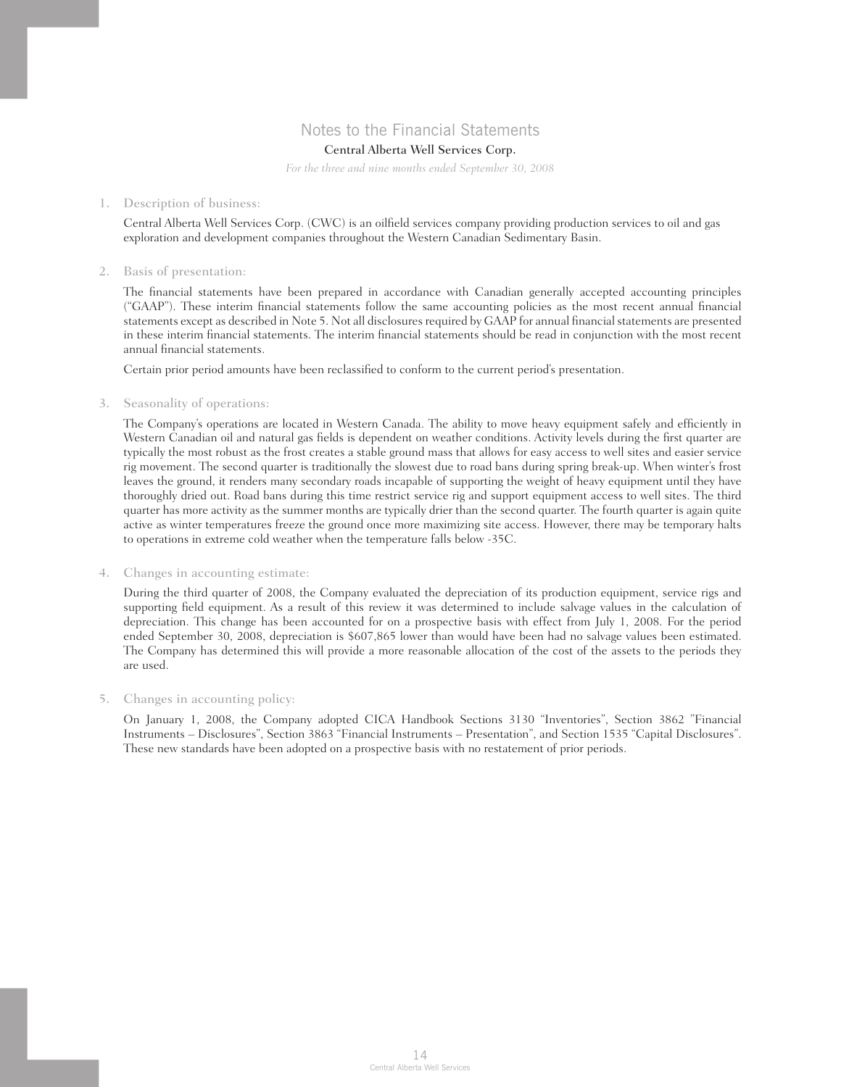## Notes to the Financial Statements

## Central Alberta Well Services Corp.

*For the three and nine months ended September 30, 2008*

#### 1. Description of business:

Central Alberta Well Services Corp. (CWC) is an oilfield services company providing production services to oil and gas exploration and development companies throughout the Western Canadian Sedimentary Basin.

#### 2. Basis of presentation:

 The financial statements have been prepared in accordance with Canadian generally accepted accounting principles ("GAAP"). These interim financial statements follow the same accounting policies as the most recent annual financial statements except as described in Note 5. Not all disclosures required by GAAP for annual financial statements are presented in these interim financial statements. The interim financial statements should be read in conjunction with the most recent annual financial statements.

Certain prior period amounts have been reclassified to conform to the current period's presentation.

### 3. Seasonality of operations:

 The Company's operations are located in Western Canada. The ability to move heavy equipment safely and efficiently in Western Canadian oil and natural gas fields is dependent on weather conditions. Activity levels during the first quarter are typically the most robust as the frost creates a stable ground mass that allows for easy access to well sites and easier service rig movement. The second quarter is traditionally the slowest due to road bans during spring break-up. When winter's frost leaves the ground, it renders many secondary roads incapable of supporting the weight of heavy equipment until they have thoroughly dried out. Road bans during this time restrict service rig and support equipment access to well sites. The third quarter has more activity as the summer months are typically drier than the second quarter. The fourth quarter is again quite active as winter temperatures freeze the ground once more maximizing site access. However, there may be temporary halts to operations in extreme cold weather when the temperature falls below -35C.

#### 4. Changes in accounting estimate:

 During the third quarter of 2008, the Company evaluated the depreciation of its production equipment, service rigs and supporting field equipment. As a result of this review it was determined to include salvage values in the calculation of depreciation. This change has been accounted for on a prospective basis with effect from July 1, 2008. For the period ended September 30, 2008, depreciation is \$607,865 lower than would have been had no salvage values been estimated. The Company has determined this will provide a more reasonable allocation of the cost of the assets to the periods they are used.

#### 5. Changes in accounting policy:

 On January 1, 2008, the Company adopted CICA Handbook Sections 3130 "Inventories", Section 3862 "Financial Instruments – Disclosures", Section 3863 "Financial Instruments – Presentation", and Section 1535 "Capital Disclosures". These new standards have been adopted on a prospective basis with no restatement of prior periods.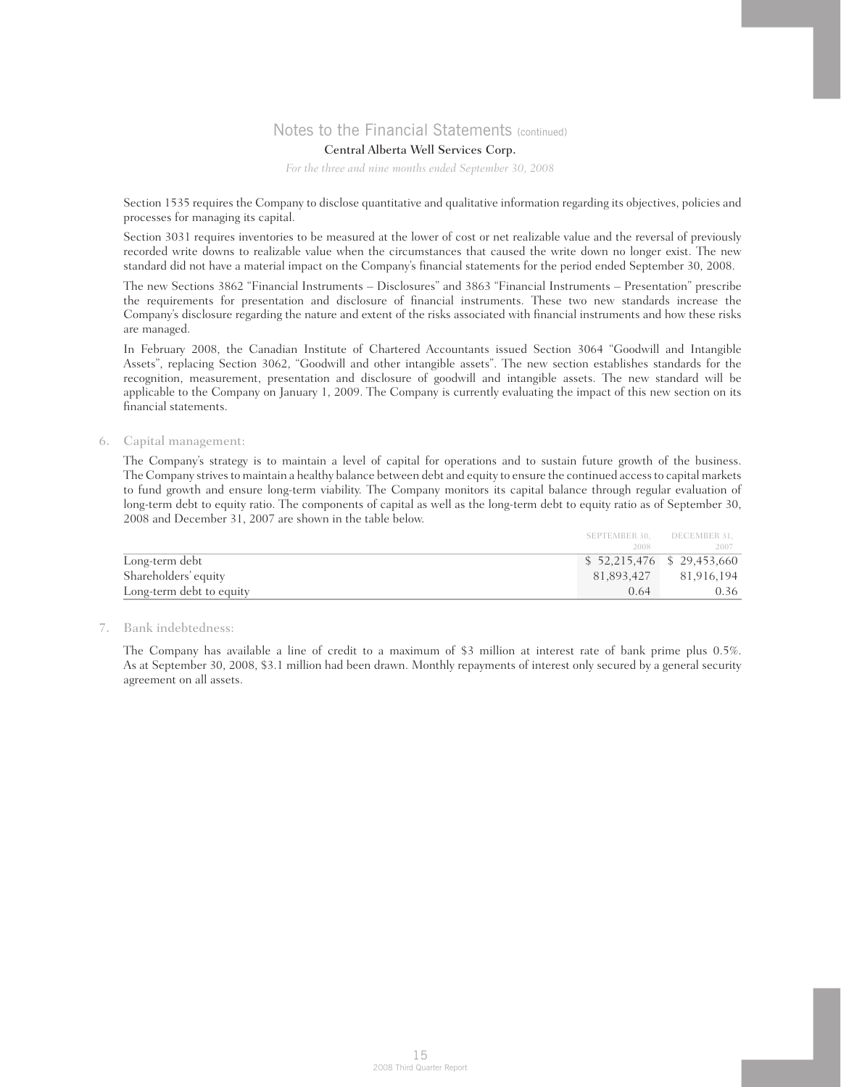## Central Alberta Well Services Corp.

*For the three and nine months ended September 30, 2008*

 Section 1535 requires the Company to disclose quantitative and qualitative information regarding its objectives, policies and processes for managing its capital.

 Section 3031 requires inventories to be measured at the lower of cost or net realizable value and the reversal of previously recorded write downs to realizable value when the circumstances that caused the write down no longer exist. The new standard did not have a material impact on the Company's financial statements for the period ended September 30, 2008.

 The new Sections 3862 "Financial Instruments – Disclosures" and 3863 "Financial Instruments – Presentation" prescribe the requirements for presentation and disclosure of financial instruments. These two new standards increase the Company's disclosure regarding the nature and extent of the risks associated with financial instruments and how these risks are managed.

 In February 2008, the Canadian Institute of Chartered Accountants issued Section 3064 "Goodwill and Intangible Assets", replacing Section 3062, "Goodwill and other intangible assets". The new section establishes standards for the recognition, measurement, presentation and disclosure of goodwill and intangible assets. The new standard will be applicable to the Company on January 1, 2009. The Company is currently evaluating the impact of this new section on its financial statements.

### 6. Capital management:

 The Company's strategy is to maintain a level of capital for operations and to sustain future growth of the business. The Company strives to maintain a healthy balance between debt and equity to ensure the continued access to capital markets to fund growth and ensure long-term viability. The Company monitors its capital balance through regular evaluation of long-term debt to equity ratio. The components of capital as well as the long-term debt to equity ratio as of September 30, 2008 and December 31, 2007 are shown in the table below.

|                          |                             | SEPTEMBER 30. DECEMBER 31. |
|--------------------------|-----------------------------|----------------------------|
|                          | 2008                        | 2007                       |
| Long-term debt           | $$52,215,476$ $$29,453,660$ |                            |
| Shareholders' equity     | 81.893.427                  | 81,916,194                 |
| Long-term debt to equity | 0.64                        | 0.36                       |

### 7. Bank indebtedness:

 The Company has available a line of credit to a maximum of \$3 million at interest rate of bank prime plus 0.5%. As at September 30, 2008, \$3.1 million had been drawn. Monthly repayments of interest only secured by a general security agreement on all assets.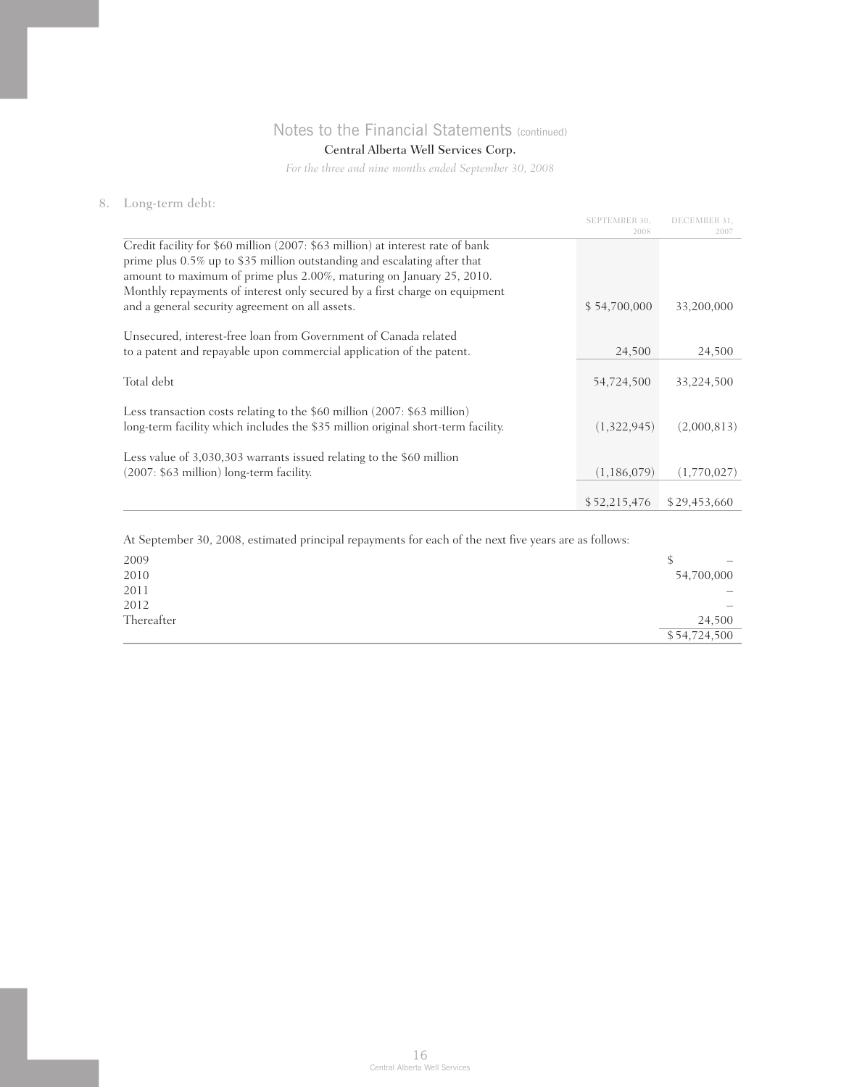## Central Alberta Well Services Corp.

*For the three and nine months ended September 30, 2008*

## 8. Long-term debt:

|                                                                                                                                                              | <b>SEPTEMBER 30.</b><br>2008 | DECEMBER 31.<br>2007 |
|--------------------------------------------------------------------------------------------------------------------------------------------------------------|------------------------------|----------------------|
| Credit facility for \$60 million (2007: \$63 million) at interest rate of bank                                                                               |                              |                      |
| prime plus 0.5% up to \$35 million outstanding and escalating after that<br>amount to maximum of prime plus 2.00%, maturing on January 25, 2010.             |                              |                      |
| Monthly repayments of interest only secured by a first charge on equipment                                                                                   |                              |                      |
| and a general security agreement on all assets.                                                                                                              | \$54,700,000                 | 33,200,000           |
| Unsecured, interest-free loan from Government of Canada related                                                                                              |                              |                      |
| to a patent and repayable upon commercial application of the patent.                                                                                         | 24,500                       | 24,500               |
| Total debt                                                                                                                                                   | 54,724,500                   | 33,224,500           |
| Less transaction costs relating to the \$60 million (2007: \$63 million)<br>long-term facility which includes the \$35 million original short-term facility. | (1,322,945)                  | (2,000,813)          |
|                                                                                                                                                              |                              |                      |
| Less value of 3,030,303 warrants issued relating to the \$60 million                                                                                         |                              |                      |
| (2007: \$63 million) long-term facility.                                                                                                                     | (1,186,079)                  | (1,770,027)          |
|                                                                                                                                                              | \$52,215,476                 | \$29,453,660         |

At September 30, 2008, estimated principal repayments for each of the next five years are as follows:

| 2009       | S<br>$\overline{\phantom{0}}$ |
|------------|-------------------------------|
| 2010       | 54,700,000                    |
| 2011       | $-$                           |
| 2012       | —                             |
| Thereafter | 24,500                        |
|            | \$54,724,500                  |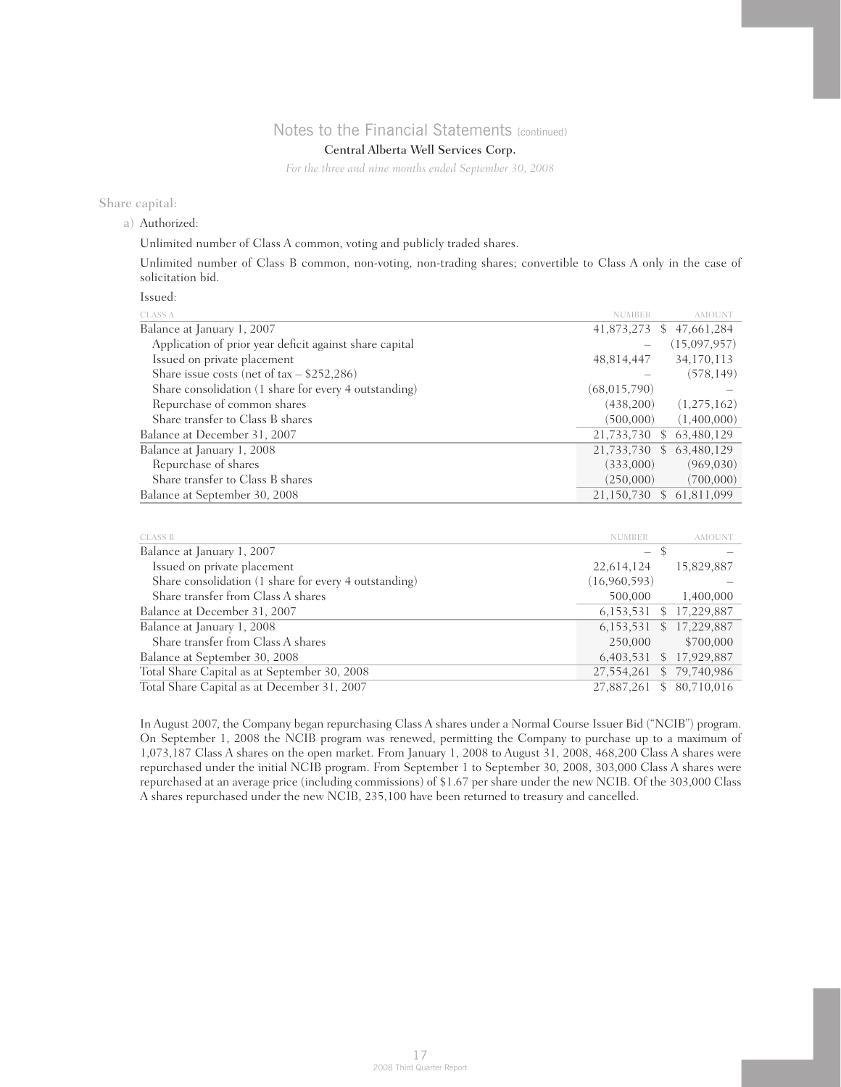## Central Alberta Well Services Corp.

*For the three and nine months ended September 30, 2008*

### Share capital:

a) Authorized:

Unlimited number of Class A common, voting and publicly traded shares.

 Unlimited number of Class B common, non-voting, non-trading shares; convertible to Class A only in the case of solicitation bid.

### Issued:

| <b>CLASS A</b>                                          |               | <b>AMOUNT</b>            |
|---------------------------------------------------------|---------------|--------------------------|
| Balance at January 1, 2007                              | 41,873,273    | \$47,661,284             |
| Application of prior year deficit against share capital |               | (15,097,957)             |
| Issued on private placement                             | 48,814,447    | 34,170,113               |
| Share issue costs (net of $tax - $252,286$ )            |               | (578, 149)               |
| Share consolidation (1 share for every 4 outstanding)   | (68,015,790)  |                          |
| Repurchase of common shares                             | (438,200)     | (1,275,162)              |
| Share transfer to Class B shares                        | (500,000)     | (1,400,000)              |
| Balance at December 31, 2007                            | 21,733,730 \$ | 63,480,129               |
| Balance at January 1, 2008                              |               | 21,733,730 \$ 63,480,129 |
| Repurchase of shares                                    | (333,000)     | (969,030)                |
| Share transfer to Class B shares                        | (250,000)     | (700,000)                |
| Balance at September 30, 2008                           |               | 21,150,730 \$ 61,811,099 |

| <b>CLASS B</b>                                        | <b>NUMBER</b>            | <b>AMOUNT</b>               |
|-------------------------------------------------------|--------------------------|-----------------------------|
| Balance at January 1, 2007                            | $\overline{\phantom{m}}$ |                             |
| Issued on private placement                           | 22,614,124               | 15,829,887                  |
| Share consolidation (1 share for every 4 outstanding) | (16,960,593)             |                             |
| Share transfer from Class A shares                    | 500,000                  | 1,400,000                   |
| Balance at December 31, 2007                          |                          | 6,153,531 \$ 17,229,887     |
| Balance at January 1, 2008                            |                          | 6, 153, 531 \$ 17, 229, 887 |
| Share transfer from Class A shares                    | 250,000                  | \$700,000                   |
| Balance at September 30, 2008                         | 6,403,531                | \$17,929,887                |
| Total Share Capital as at September 30, 2008          | 27,554,261               | \$79,740,986                |
| Total Share Capital as at December 31, 2007           | 27.887.261               | 80.710.016<br><sup>\$</sup> |

 In August 2007, the Company began repurchasing Class A shares under a Normal Course Issuer Bid ("NCIB") program. On September 1, 2008 the NCIB program was renewed, permitting the Company to purchase up to a maximum of 1,073,187 Class A shares on the open market. From January 1, 2008 to August 31, 2008, 468,200 Class A shares were repurchased under the initial NCIB program. From September 1 to September 30, 2008, 303,000 Class A shares were repurchased at an average price (including commissions) of \$1.67 per share under the new NCIB. Of the 303,000 Class A shares repurchased under the new NCIB, 235,100 have been returned to treasury and cancelled.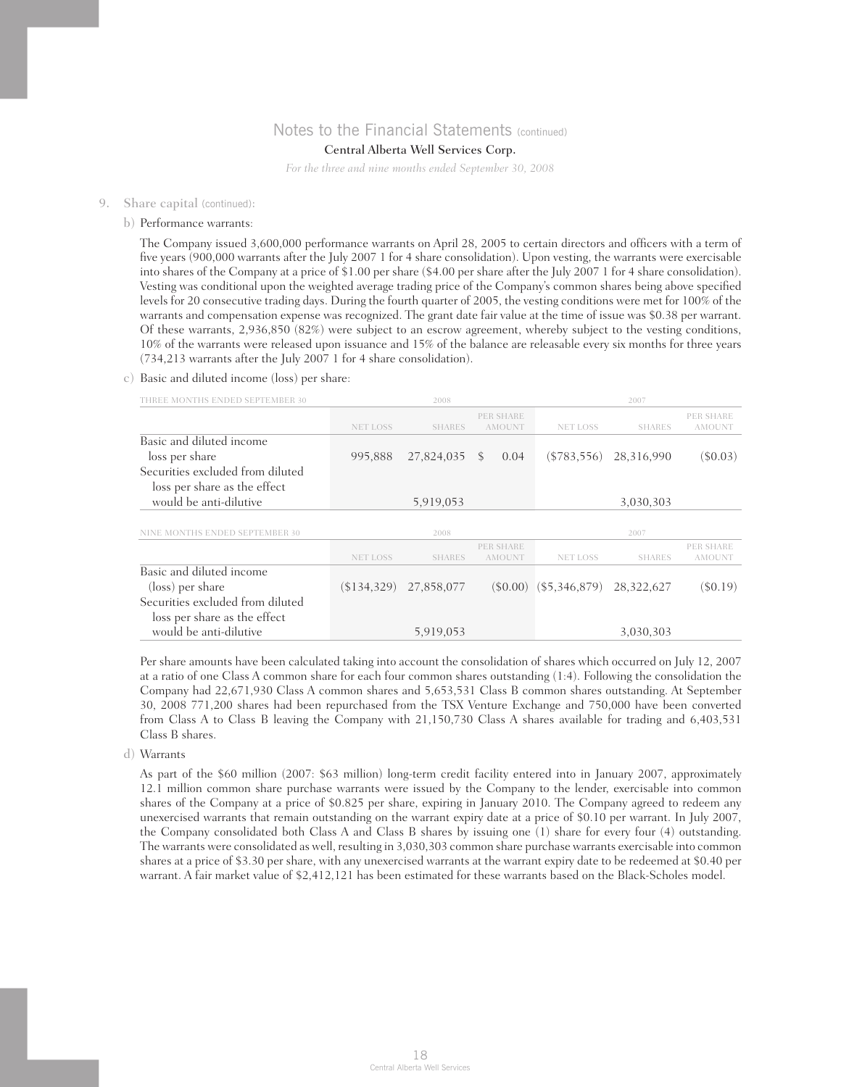### Central Alberta Well Services Corp.

*For the three and nine months ended September 30, 2008*

#### 9. Share capital (continued):

#### b) Performance warrants:

 The Company issued 3,600,000 performance warrants on April 28, 2005 to certain directors and officers with a term of five years (900,000 warrants after the July 2007 1 for 4 share consolidation). Upon vesting, the warrants were exercisable into shares of the Company at a price of \$1.00 per share (\$4.00 per share after the July 2007 1 for 4 share consolidation). Vesting was conditional upon the weighted average trading price of the Company's common shares being above specified levels for 20 consecutive trading days. During the fourth quarter of 2005, the vesting conditions were met for 100% of the warrants and compensation expense was recognized. The grant date fair value at the time of issue was \$0.38 per warrant. Of these warrants, 2,936,850 (82%) were subject to an escrow agreement, whereby subject to the vesting conditions, 10% of the warrants were released upon issuance and 15% of the balance are releasable every six months for three years (734,213 warrants after the July 2007 1 for 4 share consolidation).

### c) Basic and diluted income (loss) per share:

| THREE MONTHS ENDED SEPTEMBER 30                                  |                 | 2008          |                            |                            | 2007          |                            |
|------------------------------------------------------------------|-----------------|---------------|----------------------------|----------------------------|---------------|----------------------------|
|                                                                  | <b>NET LOSS</b> | <b>SHARES</b> | PER SHARE<br><b>AMOUNT</b> | <b>NET LOSS</b>            | <b>SHARES</b> | PER SHARE<br><b>AMOUNT</b> |
| Basic and diluted income<br>loss per share                       | 995,888         | 27,824,035    | 0.04<br>S.                 | $(\$783,556)$              | 28,316,990    | $(\$0.03)$                 |
| Securities excluded from diluted<br>loss per share as the effect |                 |               |                            |                            |               |                            |
| would be anti-dilutive                                           |                 | 5,919,053     |                            |                            | 3,030,303     |                            |
| NINE MONTHS ENDED SEPTEMBER 30                                   |                 | 2008          |                            |                            | 2007          |                            |
|                                                                  | <b>NET LOSS</b> | <b>SHARES</b> | PER SHARE<br><b>AMOUNT</b> | <b>NET LOSS</b>            | <b>SHARES</b> | PER SHARE<br><b>AMOUNT</b> |
| Basic and diluted income                                         |                 |               |                            |                            |               |                            |
| (loss) per share                                                 | \$134,329       | 27,858,077    |                            | $(\$0.00)$ $(\$5,346,879)$ | 28,322,627    | $($ \$0.19)                |
| Securities excluded from diluted<br>loss per share as the effect |                 |               |                            |                            |               |                            |
| would be anti-dilutive                                           |                 | 5,919,053     |                            |                            | 3,030,303     |                            |

 Per share amounts have been calculated taking into account the consolidation of shares which occurred on July 12, 2007 at a ratio of one Class A common share for each four common shares outstanding (1:4). Following the consolidation the Company had 22,671,930 Class A common shares and 5,653,531 Class B common shares outstanding. At September 30, 2008 771,200 shares had been repurchased from the TSX Venture Exchange and 750,000 have been converted from Class A to Class B leaving the Company with 21,150,730 Class A shares available for trading and 6,403,531 Class B shares.

#### d) Warrants

 As part of the \$60 million (2007: \$63 million) long-term credit facility entered into in January 2007, approximately 12.1 million common share purchase warrants were issued by the Company to the lender, exercisable into common shares of the Company at a price of \$0.825 per share, expiring in January 2010. The Company agreed to redeem any unexercised warrants that remain outstanding on the warrant expiry date at a price of \$0.10 per warrant. In July 2007, the Company consolidated both Class A and Class B shares by issuing one (1) share for every four (4) outstanding. The warrants were consolidated as well, resulting in 3,030,303 common share purchase warrants exercisable into common shares at a price of \$3.30 per share, with any unexercised warrants at the warrant expiry date to be redeemed at \$0.40 per warrant. A fair market value of \$2,412,121 has been estimated for these warrants based on the Black-Scholes model.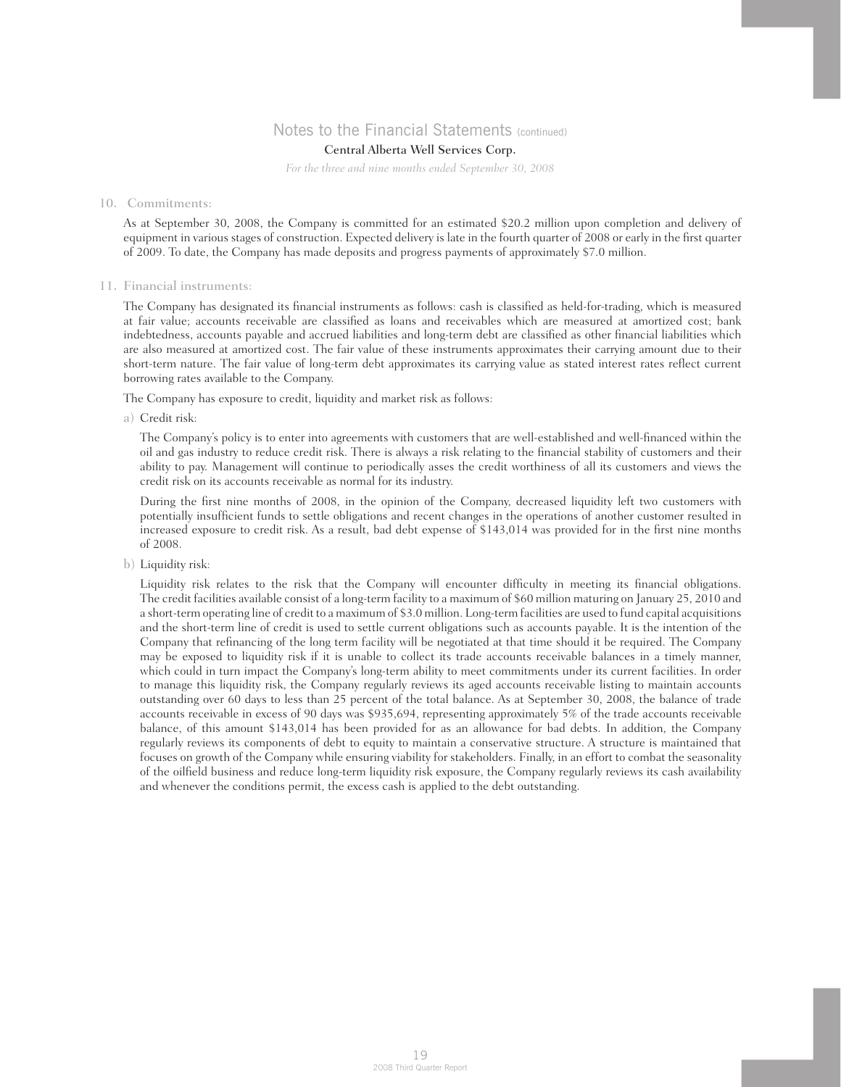### Central Alberta Well Services Corp.

*For the three and nine months ended September 30, 2008*

#### 10. Commitments:

 As at September 30, 2008, the Company is committed for an estimated \$20.2 million upon completion and delivery of equipment in various stages of construction. Expected delivery is late in the fourth quarter of 2008 or early in the first quarter of 2009. To date, the Company has made deposits and progress payments of approximately \$7.0 million.

#### 11. Financial instruments:

 The Company has designated its financial instruments as follows: cash is classified as held-for-trading, which is measured at fair value; accounts receivable are classified as loans and receivables which are measured at amortized cost; bank indebtedness, accounts payable and accrued liabilities and long-term debt are classified as other financial liabilities which are also measured at amortized cost. The fair value of these instruments approximates their carrying amount due to their short-term nature. The fair value of long-term debt approximates its carrying value as stated interest rates reflect current borrowing rates available to the Company.

The Company has exposure to credit, liquidity and market risk as follows:

a) Credit risk:

 The Company's policy is to enter into agreements with customers that are well-established and well-financed within the oil and gas industry to reduce credit risk. There is always a risk relating to the financial stability of customers and their ability to pay. Management will continue to periodically asses the credit worthiness of all its customers and views the credit risk on its accounts receivable as normal for its industry.

 During the first nine months of 2008, in the opinion of the Company, decreased liquidity left two customers with potentially insufficient funds to settle obligations and recent changes in the operations of another customer resulted in increased exposure to credit risk. As a result, bad debt expense of \$143,014 was provided for in the first nine months of 2008.

b) Liquidity risk:

 Liquidity risk relates to the risk that the Company will encounter difficulty in meeting its financial obligations. The credit facilities available consist of a long-term facility to a maximum of \$60 million maturing on January 25, 2010 and a short-term operating line of credit to a maximum of \$3.0 million. Long-term facilities are used to fund capital acquisitions and the short-term line of credit is used to settle current obligations such as accounts payable. It is the intention of the Company that refinancing of the long term facility will be negotiated at that time should it be required. The Company may be exposed to liquidity risk if it is unable to collect its trade accounts receivable balances in a timely manner, which could in turn impact the Company's long-term ability to meet commitments under its current facilities. In order to manage this liquidity risk, the Company regularly reviews its aged accounts receivable listing to maintain accounts outstanding over 60 days to less than 25 percent of the total balance. As at September 30, 2008, the balance of trade accounts receivable in excess of 90 days was \$935,694, representing approximately 5% of the trade accounts receivable balance, of this amount \$143,014 has been provided for as an allowance for bad debts. In addition, the Company regularly reviews its components of debt to equity to maintain a conservative structure. A structure is maintained that focuses on growth of the Company while ensuring viability for stakeholders. Finally, in an effort to combat the seasonality of the oilfield business and reduce long-term liquidity risk exposure, the Company regularly reviews its cash availability and whenever the conditions permit, the excess cash is applied to the debt outstanding.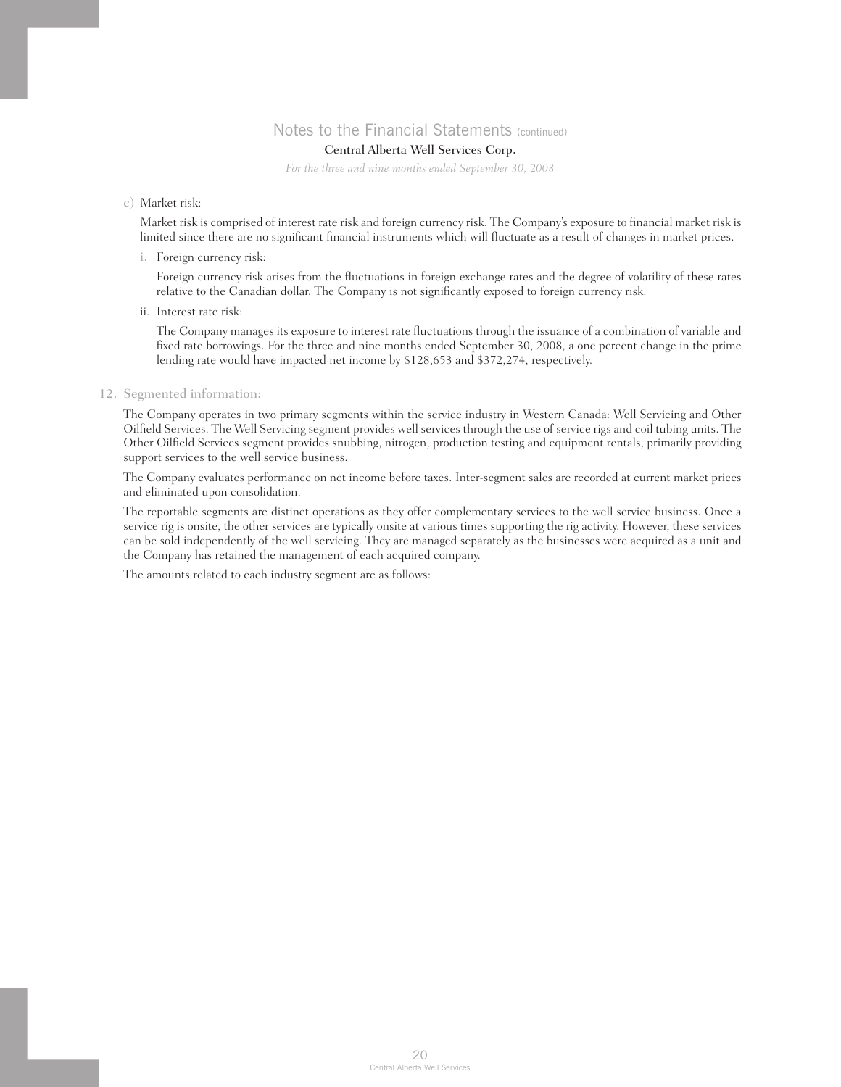## Central Alberta Well Services Corp.

*For the three and nine months ended September 30, 2008*

### c) Market risk:

 Market risk is comprised of interest rate risk and foreign currency risk. The Company's exposure to financial market risk is limited since there are no significant financial instruments which will fluctuate as a result of changes in market prices.

i. Foreign currency risk:

 Foreign currency risk arises from the fluctuations in foreign exchange rates and the degree of volatility of these rates relative to the Canadian dollar. The Company is not significantly exposed to foreign currency risk.

ii. Interest rate risk:

 The Company manages its exposure to interest rate fluctuations through the issuance of a combination of variable and fixed rate borrowings. For the three and nine months ended September 30, 2008, a one percent change in the prime lending rate would have impacted net income by \$128,653 and \$372,274, respectively.

### 12. Segmented information:

 The Company operates in two primary segments within the service industry in Western Canada: Well Servicing and Other Oilfield Services. The Well Servicing segment provides well services through the use of service rigs and coil tubing units. The Other Oilfield Services segment provides snubbing, nitrogen, production testing and equipment rentals, primarily providing support services to the well service business.

 The Company evaluates performance on net income before taxes. Inter-segment sales are recorded at current market prices and eliminated upon consolidation.

 The reportable segments are distinct operations as they offer complementary services to the well service business. Once a service rig is onsite, the other services are typically onsite at various times supporting the rig activity. However, these services can be sold independently of the well servicing. They are managed separately as the businesses were acquired as a unit and the Company has retained the management of each acquired company.

The amounts related to each industry segment are as follows: